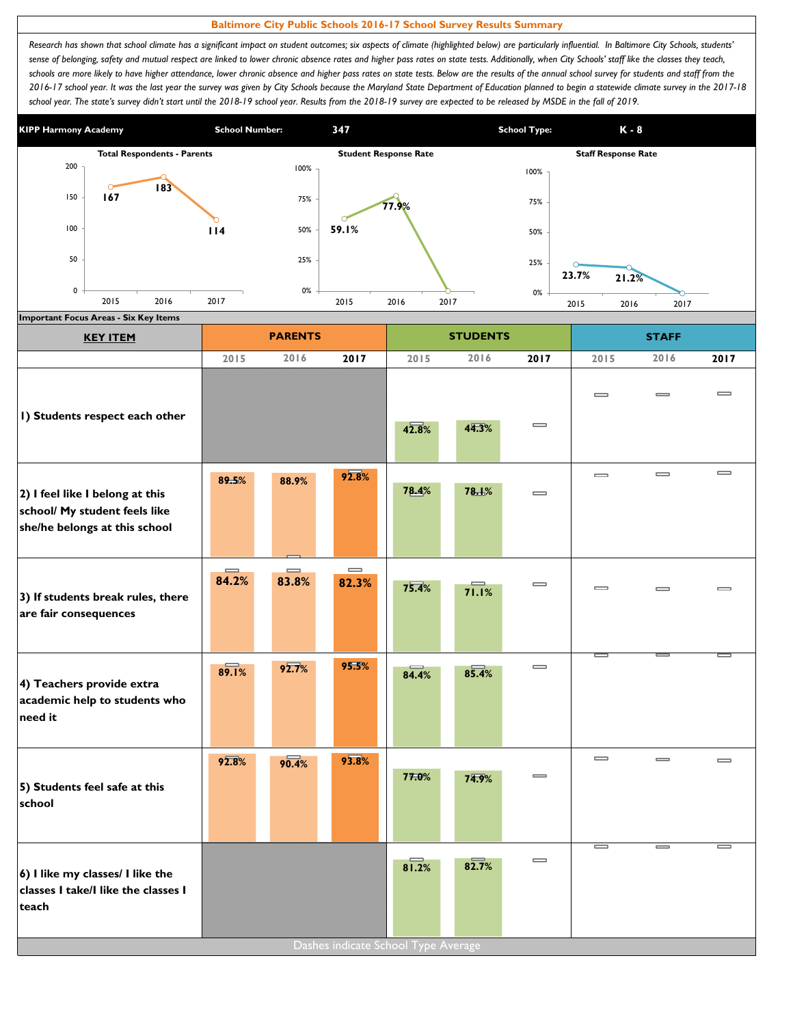## **Baltimore City Public Schools 2016-17 School Survey Results Summary**

Research has shown that school climate has a significant impact on student outcomes; six aspects of climate (highlighted below) are particularly influential. In Baltimore City Schools, students' sense of belonging, safety and mutual respect are linked to lower chronic absence rates and higher pass rates on state tests. Additionally, when City Schools' staff like the classes they teach, schools are more likely to have higher attendance, lower chronic absence and higher pass rates on state tests. Below are the results of the annual school survey for students and staff from the *2016-17 school year. It was the last year the survey was given by City Schools because the Maryland State Department of Education planned to begin a statewide climate survey in the 2017-18*  school year. The state's survey didn't start until the 2018-19 school year. Results from the 2018-19 survey are expected to be released by MSDE in the fall of 2019.



| <b>KEY ITEM</b>                                                                                   |                   | <b>PARENTS</b>    |                                     |       | <b>STUDENTS</b> |                              |                              | <b>STAFF</b>                 |          |
|---------------------------------------------------------------------------------------------------|-------------------|-------------------|-------------------------------------|-------|-----------------|------------------------------|------------------------------|------------------------------|----------|
|                                                                                                   | 2015              | 2016              | 2017                                | 2015  | 2016            | 2017                         | 2015                         | 2016                         | 2017     |
| I) Students respect each other                                                                    |                   |                   |                                     | 42.8% | 44.3%           | $\overline{\phantom{0}}$     | $\qquad \qquad \blacksquare$ | $\equiv$                     | $\equiv$ |
| 2) I feel like I belong at this<br>school/ My student feels like<br>she/he belongs at this school | 89.5%             | 88.9%             | 92.8%                               | 78.4% | 78.1%           | $\equiv$                     | $\qquad \qquad \blacksquare$ | $\qquad \qquad \blacksquare$ | $\equiv$ |
| 3) If students break rules, there<br>are fair consequences                                        | $\equiv$<br>84.2% | $\equiv$<br>83.8% | $\qquad \qquad =$<br>82.3%          | 75.4% | 71.1%           | $\equiv$                     | $\equiv$                     | $\equiv$                     | $\equiv$ |
| 4) Teachers provide extra<br>academic help to students who<br>need it                             | 89.1%             | 92.7%             | 95.5%                               | 84.4% | 85.4%           | $\equiv$                     | J                            |                              | $\equiv$ |
| 5) Students feel safe at this<br>school                                                           | 92.8%             | 90.4%             | 93.8%                               | 77.0% | 74.9%           | $\qquad \qquad \blacksquare$ | $\qquad \qquad \blacksquare$ | $\qquad \qquad \blacksquare$ | $\equiv$ |
| 6) I like my classes/ I like the<br>classes I take/I like the classes I<br>teach                  |                   |                   | Dashes indicate School Type Average | 81.2% | 82.7%           | $\qquad \qquad \blacksquare$ | J                            | I                            | I        |